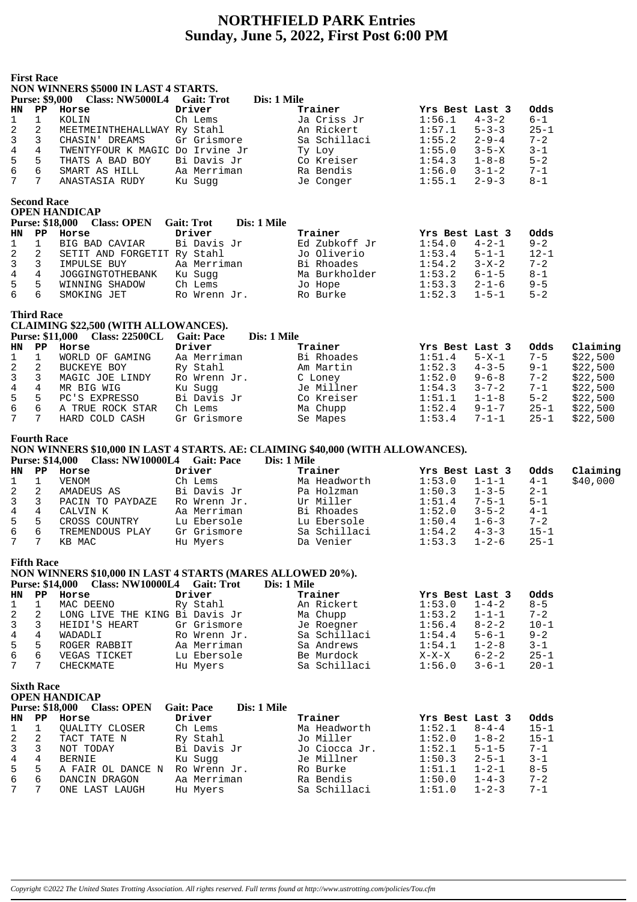## **NORTHFIELD PARK Entries Sunday, June 5, 2022, First Post 6:00 PM**

|                     | <b>First Race</b>                           | NON WINNERS \$5000 IN LAST 4 STARTS.<br>Purse: \$9,000 Class: NW5000L4 Gait: Trot                                                        |                         | Dis: 1 Mile |                            |                  |                            |                      |          |
|---------------------|---------------------------------------------|------------------------------------------------------------------------------------------------------------------------------------------|-------------------------|-------------|----------------------------|------------------|----------------------------|----------------------|----------|
| HN                  | PP                                          | Horse                                                                                                                                    | Driver                  |             | Trainer                    | Yrs Best Last 3  |                            | Odds                 |          |
| 1                   | 1                                           | KOLIN                                                                                                                                    | Ch Lems                 |             | Ja Criss Jr                | 1:56.1           | $4 - 3 - 2$                | $6 - 1$              |          |
| 2                   | 2                                           | MEETMEINTHEHALLWAY Ry Stahl                                                                                                              |                         |             | An Rickert                 | 1:57.1           | $5 - 3 - 3$                | $25 - 1$             |          |
| 3                   | 3                                           | CHASIN' DREAMS                                                                                                                           | Gr Grismore             |             | Sa Schillaci               | 1:55.2           | $2 - 9 - 4$                | $7 - 2$              |          |
| 4                   | 4                                           | TWENTYFOUR K MAGIC Do Irvine Jr                                                                                                          |                         |             | Ty Loy                     | 1:55.0           | $3 - 5 - X$                | $3 - 1$              |          |
| $\mathsf S$         | 5                                           | THATS A BAD BOY                                                                                                                          | Bi Davis Jr             |             | Co Kreiser                 | 1:54.3           | $1 - 8 - 8$                | $5 - 2$              |          |
| б                   | 6                                           | SMART AS HILL                                                                                                                            | Aa Merriman             |             | Ra Bendis                  | 1:56.0           | $3 - 1 - 2$                | $7 - 1$              |          |
| 7                   | $7\overline{ }$                             | ANASTASIA RUDY                                                                                                                           | Ku Sugg                 |             | Je Conger                  | 1:55.1           | $2 - 9 - 3$                | $8 - 1$              |          |
|                     | <b>Second Race</b>                          | <b>OPEN HANDICAP</b><br><b>Purse: \$18,000</b><br><b>Class: OPEN</b>                                                                     | <b>Gait: Trot</b>       | Dis: 1 Mile |                            |                  |                            |                      |          |
| HN                  | PP                                          | Horse                                                                                                                                    | Driver                  |             | Trainer                    | Yrs Best Last 3  |                            | Odds                 |          |
| 1                   | 1                                           | BIG BAD CAVIAR                                                                                                                           | Bi Davis Jr             |             | Ed Zubkoff Jr              | 1:54.0           | $4 - 2 - 1$                | $9 - 2$              |          |
| 2                   | 2                                           | SETIT AND FORGETIT Ry Stahl                                                                                                              |                         |             | Jo Oliverio                | 1:53.4           | $5 - 1 - 1$                | $12 - 1$             |          |
| 3                   | 3                                           | IMPULSE BUY                                                                                                                              | Aa Merriman             |             | Bi Rhoades                 | 1:54.2           | $3 - X - 2$                | $7 - 2$              |          |
| 4                   | $\overline{4}$                              | JOGGINGTOTHEBANK                                                                                                                         | Ku Sugg                 |             | Ma Burkholder              | 1:53.2           | $6 - 1 - 5$                | $8 - 1$              |          |
| 5<br>6              | 5<br>6                                      | WINNING SHADOW<br>SMOKING JET                                                                                                            | Ch Lems<br>Ro Wrenn Jr. |             | Jo Hope<br>Ro Burke        | 1:53.3<br>1:52.3 | $2 - 1 - 6$<br>$1 - 5 - 1$ | $9 - 5$<br>$5 - 2$   |          |
|                     | <b>Third Race</b>                           |                                                                                                                                          |                         |             |                            |                  |                            |                      |          |
|                     |                                             | CLAIMING \$22,500 (WITH ALLOWANCES).                                                                                                     |                         |             |                            |                  |                            |                      |          |
|                     |                                             | Purse: \$11,000 Class: 22500CL                                                                                                           | <b>Gait: Pace</b>       | Dis: 1 Mile |                            |                  |                            |                      |          |
| HN                  | PP                                          | Horse                                                                                                                                    | Driver                  |             | Trainer                    | Yrs Best Last 3  |                            | Odds                 | Claiming |
| 1                   | 1                                           | WORLD OF GAMING                                                                                                                          | Aa Merriman             |             | Bi Rhoades                 | 1:51.4           | $5 - X - 1$                | $7 - 5$              | \$22,500 |
| 2                   | 2                                           | BUCKEYE BOY                                                                                                                              | Ry Stahl                |             | Am Martin                  | 1:52.3           | $4 - 3 - 5$                | $9 - 1$              | \$22,500 |
| 3                   | 3                                           | MAGIC JOE LINDY                                                                                                                          | Ro Wrenn Jr.            |             | C Loney                    | 1:52.0           | $9 - 6 - 8$                | $7 - 2$              | \$22,500 |
| $\overline{4}$<br>5 | 4                                           | MR BIG WIG                                                                                                                               | Ku Sugg                 |             | Je Millner                 | 1:54.3           | $3 - 7 - 2$                | $7 - 1$              | \$22,500 |
|                     | 5                                           | PC'S EXPRESSO                                                                                                                            | Bi Davis Jr             |             | Co Kreiser                 | 1:51.1           | $1 - 1 - 8$                | $5 - 2$              | \$22,500 |
| 6<br>7              | 6<br>7                                      | A TRUE ROCK STAR                                                                                                                         | Ch Lems                 |             | Ma Chupp                   | 1:52.4           | $9 - 1 - 7$                | $25 - 1$             | \$22,500 |
|                     |                                             | HARD COLD CASH                                                                                                                           | Gr Grismore             |             | Se Mapes                   | 1:53.4           | $7 - 1 - 1$                | $25 - 1$             | \$22,500 |
|                     | <b>Fourth Race</b>                          | NON WINNERS \$10,000 IN LAST 4 STARTS. AE: CLAIMING \$40,000 (WITH ALLOWANCES).<br><b>Purse: \$14,000</b><br>Class: NW10000L4 Gait: Pace |                         | Dis: 1 Mile |                            |                  |                            |                      |          |
| HN                  | PP                                          | Horse                                                                                                                                    | Driver                  |             | Trainer                    | Yrs Best Last 3  |                            | Odds                 | Claiming |
| 1                   | 1                                           | VENOM                                                                                                                                    | Ch Lems                 |             | Ma Headworth               | 1:53.0           | $1 - 1 - 1$                | $4 - 1$              | \$40,000 |
| 2                   | 2                                           | AMADEUS AS                                                                                                                               | Bi Davis Jr             |             | Pa Holzman                 | 1:50.3           | $1 - 3 - 5$                | $2 - 1$              |          |
| 3                   | 3                                           | PACIN TO PAYDAZE                                                                                                                         | Ro Wrenn Jr.            |             | Ur Miller                  | 1:51.4           | $7 - 5 - 1$                | $5 - 1$              |          |
| $\,4$               | 4                                           | CALVIN K                                                                                                                                 | Aa Merriman             |             | Bi Rhoades                 | 1:52.0           | $3 - 5 - 2$                | $4 - 1$              |          |
| 5                   | 5                                           | CROSS COUNTRY                                                                                                                            | Lu Ebersole             |             | Lu Ebersole                | 1:50.4           | $1 - 6 - 3$                | $7 - 2$              |          |
| 6                   | 6                                           | TREMENDOUS PLAY                                                                                                                          | Gr Grismore             |             | Sa Schillaci               | 1:54.2           | $4 - 3 - 3$                | $15 - 1$             |          |
| 7                   | 7                                           | KB MAC                                                                                                                                   | Hu Myers                |             | Da Venier                  | 1:53.3           | $1 - 2 - 6$                | $25 - 1$             |          |
|                     | <b>Fifth Race</b>                           | NON WINNERS \$10,000 IN LAST 4 STARTS (MARES ALLOWED 20%).                                                                               |                         | Dis: 1 Mile |                            |                  |                            |                      |          |
|                     |                                             | Purse: \$14,000 Class: NW10000L4 Gait: Trot                                                                                              |                         |             |                            |                  |                            |                      |          |
| HN<br>1             | $_{\rm PP}$                                 | Horse<br>MAC DEENO                                                                                                                       | Driver<br>Ry Stahl      |             | Trainer<br>An Rickert      | Yrs Best Last 3  |                            | Odds<br>$8 - 5$      |          |
|                     | 1                                           |                                                                                                                                          |                         |             |                            | 1:53.0           | $1 - 4 - 2$                | $7 - 2$              |          |
| 2                   | 2                                           | LONG LIVE THE KING Bi Davis Jr                                                                                                           | Gr Grismore             |             | Ma Chupp                   | 1:53.2           | $1 - 1 - 1$                |                      |          |
| 3                   | 3                                           | HEIDI'S HEART                                                                                                                            |                         |             | Je Roegner                 | 1:56.4           | $8 - 2 - 2$                | $10 - 1$             |          |
| 4                   | 4                                           | WADADLI                                                                                                                                  | Ro Wrenn Jr.            |             | Sa Schillaci               | 1:54.4           | $5 - 6 - 1$                | $9 - 2$              |          |
| 5<br>6              | 5<br>6                                      | ROGER RABBIT                                                                                                                             | Aa Merriman             |             | Sa Andrews                 | 1:54.1           | $1 - 2 - 8$<br>$6 - 2 - 2$ | $3 - 1$              |          |
| 7                   | 7                                           | VEGAS TICKET<br>CHECKMATE                                                                                                                | Lu Ebersole<br>Hu Myers |             | Be Murdock<br>Sa Schillaci | X-X-X<br>1:56.0  | $3 - 6 - 1$                | $25 - 1$<br>$20 - 1$ |          |
|                     |                                             |                                                                                                                                          |                         |             |                            |                  |                            |                      |          |
|                     | <b>Sixth Race</b><br><b>Purse: \$18,000</b> | <b>OPEN HANDICAP</b><br><b>Class: OPEN</b>                                                                                               | <b>Gait: Pace</b>       | Dis: 1 Mile |                            |                  |                            |                      |          |
| HN                  | PP                                          | Horse                                                                                                                                    | Driver                  |             | Trainer                    | Yrs Best Last 3  |                            | Odds                 |          |
| 1                   | 1                                           | QUALITY CLOSER                                                                                                                           | Ch Lems                 |             | Ma Headworth               | 1:52.1           | $8 - 4 - 4$                | $15 - 1$             |          |
| 2                   | 2                                           | TACT TATE N                                                                                                                              | Ry Stahl                |             | Jo Miller                  | 1:52.0           | $1 - 8 - 2$                | $15 - 1$             |          |
| 3                   | 3                                           | NOT TODAY                                                                                                                                | Bi Davis Jr             |             | Jo Ciocca Jr.              | 1:52.1           | $5 - 1 - 5$                | 7-1                  |          |
| 4                   | 4                                           | <b>BERNIE</b>                                                                                                                            | Ku Sugg                 |             | Je Millner                 | 1:50.3           | $2 - 5 - 1$                | $3 - 1$              |          |
| 5                   | 5                                           | A FAIR OL DANCE N                                                                                                                        | Ro Wrenn Jr.            |             | Ro Burke                   | 1:51.1           | $1 - 2 - 1$                | $8 - 5$              |          |
| 6                   | 6                                           | DANCIN DRAGON                                                                                                                            | Aa Merriman             |             | Ra Bendis                  | 1:50.0           | $1 - 4 - 3$                | $7 - 2$              |          |
| 7                   | 7                                           | ONE LAST LAUGH                                                                                                                           | Hu Myers                |             | Sa Schillaci               | 1:51.0           | $1 - 2 - 3$                | $7 - 1$              |          |
|                     |                                             |                                                                                                                                          |                         |             |                            |                  |                            |                      |          |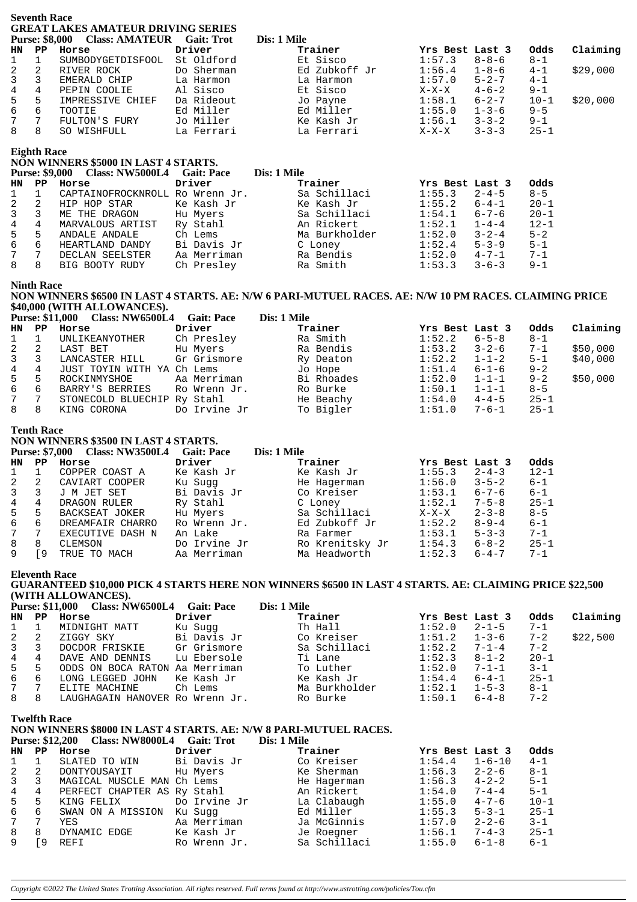|                     | <b>Seventh Race</b><br><b>Purse: \$8,000</b> | <b>GREAT LAKES AMATEUR DRIVING SERIES</b><br><b>Class: AMATEUR Gait: Trot</b>     |                          | Dis: 1 Mile                                                                                                                                                                                                                                            |                            |                             |                      |          |
|---------------------|----------------------------------------------|-----------------------------------------------------------------------------------|--------------------------|--------------------------------------------------------------------------------------------------------------------------------------------------------------------------------------------------------------------------------------------------------|----------------------------|-----------------------------|----------------------|----------|
| <b>HN</b>           | $\mathbf{P} \mathbf{P}$                      | Horse                                                                             | Driver                   | Trainer                                                                                                                                                                                                                                                | Yrs Best Last 3            |                             | Odds<br>$8 - 1$      | Claiming |
| 1<br>$\sqrt{2}$     | 1<br>2                                       | SUMBODYGETDISFOOL<br>RIVER ROCK                                                   | St Oldford<br>Do Sherman | Et Sisco<br>Ed Zubkoff Jr                                                                                                                                                                                                                              | 1:57.3<br>1:56.4           | $8 - 8 - 6$<br>$1 - 8 - 6$  | $4 - 1$              | \$29,000 |
| $\mathsf 3$         | 3                                            | EMERALD CHIP                                                                      | La Harmon                | La Harmon                                                                                                                                                                                                                                              | 1:57.0                     | $5 - 2 - 7$                 | $4 - 1$              |          |
| $\overline{4}$      | 4                                            | PEPIN COOLIE                                                                      | Al Sisco                 | Et Sisco                                                                                                                                                                                                                                               | $X-X-X$                    | $4 - 6 - 2$                 | $9 - 1$              |          |
| 5                   | 5                                            | IMPRESSIVE CHIEF                                                                  | Da Rideout               | Jo Payne                                                                                                                                                                                                                                               | 1:58.1                     | $6 - 2 - 7$                 | $10 - 1$             | \$20,000 |
| 6                   | 6                                            | TOOTIE                                                                            | Ed Miller                | Ed Miller                                                                                                                                                                                                                                              | 1:55.0                     | $1 - 3 - 6$                 | $9 - 5$              |          |
| 7<br>8              | 7<br>8                                       | FULTON'S FURY<br>SO WISHFULL                                                      | Jo Miller<br>La Ferrari  | Ke Kash Jr<br>La Ferrari                                                                                                                                                                                                                               | 1:56.1<br>$X-X-X$          | $3 - 3 - 2$<br>$3 - 3 - 3$  | $9 - 1$<br>$25 - 1$  |          |
|                     |                                              |                                                                                   |                          |                                                                                                                                                                                                                                                        |                            |                             |                      |          |
|                     | <b>Eighth Race</b>                           | NON WINNERS \$5000 IN LAST 4 STARTS.                                              |                          |                                                                                                                                                                                                                                                        |                            |                             |                      |          |
|                     |                                              | Purse: \$9,000 Class: NW5000L4 Gait: Pace                                         |                          | Dis: 1 Mile                                                                                                                                                                                                                                            |                            |                             |                      |          |
| <b>HN</b>           | $_{\rm PP}$                                  | Horse                                                                             | Driver                   | Trainer                                                                                                                                                                                                                                                | Yrs Best Last 3            |                             | 0dds                 |          |
| 1                   | 1                                            | CAPTAINOFROCKNROLL Ro Wrenn Jr.                                                   |                          | Sa Schillaci                                                                                                                                                                                                                                           | 1:55.3                     | $2 - 4 - 5$                 | $8 - 5$              |          |
| $\overline{2}$      | 2<br>3                                       | HIP HOP STAR                                                                      | Ke Kash Jr               | Ke Kash Jr                                                                                                                                                                                                                                             | 1:55.2                     | $6 - 4 - 1$                 | $20 - 1$             |          |
| 3<br>$\,4$          | 4                                            | ME THE DRAGON<br>MARVALOUS ARTIST                                                 | Hu Myers<br>Ry Stahl     | Sa Schillaci<br>An Rickert                                                                                                                                                                                                                             | 1:54.1<br>1:52.1           | $6 - 7 - 6$<br>$1 - 4 - 4$  | $20 - 1$<br>$12 - 1$ |          |
| 5                   | 5                                            | ANDALE ANDALE                                                                     | Ch Lems                  | Ma Burkholder                                                                                                                                                                                                                                          | 1:52.0                     | $3 - 2 - 4$                 | $5 - 2$              |          |
| $\epsilon$          | 6                                            | HEARTLAND DANDY                                                                   | Bi Davis Jr              | C Loney                                                                                                                                                                                                                                                | 1:52.4                     | $5 - 3 - 9$                 | $5 - 1$              |          |
| 7                   | 7                                            | DECLAN SEELSTER                                                                   | Aa Merriman              | Ra Bendis                                                                                                                                                                                                                                              | 1:52.0                     | $4 - 7 - 1$                 | $7 - 1$              |          |
| 8                   | 8                                            | BIG BOOTY RUDY                                                                    | Ch Presley               | Ra Smith                                                                                                                                                                                                                                               | 1:53.3                     | $3 - 6 - 3$                 | $9 - 1$              |          |
|                     | <b>Ninth Race</b>                            | \$40,000 (WITH ALLOWANCES).<br>Purse: \$11,000 Class: NW6500L4                    | <b>Gait: Pace</b>        | NON WINNERS \$6500 IN LAST 4 STARTS. AE: N/W 6 PARI-MUTUEL RACES. AE: N/W 10 PM RACES. CLAIMING PRICE<br>Dis: 1 Mile                                                                                                                                   |                            |                             |                      |          |
| <b>HN</b>           | $_{\rm PP}$                                  | Horse                                                                             | Driver                   | Trainer                                                                                                                                                                                                                                                | Yrs Best Last 3            |                             | 0dds                 | Claiming |
| 1                   | 1                                            | UNLIKEANYOTHER                                                                    | Ch Presley               | Ra Smith                                                                                                                                                                                                                                               | 1:52.2                     | $6 - 5 - 8$                 | $8 - 1$              |          |
| $\overline{2}$      | 2                                            | LAST BET                                                                          | Hu Myers                 | Ra Bendis                                                                                                                                                                                                                                              | 1:53.2                     | $3 - 2 - 6$                 | 7-1                  | \$50,000 |
| 3                   | 3                                            | LANCASTER HILL                                                                    | Gr Grismore              | Ry Deaton                                                                                                                                                                                                                                              | 1:52.2                     | $1 - 1 - 2$                 | $5 - 1$              | \$40,000 |
| $\overline{4}$<br>5 | 4<br>5                                       | JUST TOYIN WITH YA Ch Lems<br>ROCKINMYSHOE                                        | Aa Merriman              | Jo Hope<br>Bi Rhoades                                                                                                                                                                                                                                  | 1:51.4<br>1:52.0           | $6 - 1 - 6$<br>$1 - 1 - 1$  | $9 - 2$<br>$9 - 2$   | \$50,000 |
| $\epsilon$          | 6                                            | BARRY'S BERRIES                                                                   | Ro Wrenn Jr.             | Ro Burke                                                                                                                                                                                                                                               | 1:50.1                     | $1 - 1 - 1$                 | $8 - 5$              |          |
| 7                   | 7                                            | STONECOLD BLUECHIP Ry Stahl                                                       |                          | He Beachy                                                                                                                                                                                                                                              | 1:54.0                     | $4 - 4 - 5$                 | $25 - 1$             |          |
| 8                   | 8                                            | KING CORONA                                                                       | Do Irvine Jr             | To Bigler                                                                                                                                                                                                                                              | 1:51.0                     | $7 - 6 - 1$                 | $25 - 1$             |          |
|                     | <b>Tenth Race</b>                            |                                                                                   |                          |                                                                                                                                                                                                                                                        |                            |                             |                      |          |
|                     |                                              | NON WINNERS \$3500 IN LAST 4 STARTS.<br>Purse: \$7,000 Class: NW3500L4 Gait: Pace |                          | Dis: 1 Mile                                                                                                                                                                                                                                            |                            |                             |                      |          |
| HN.                 | $\mathbf{P} \mathbf{P}$                      | Horse                                                                             | Driver                   | Trainer                                                                                                                                                                                                                                                | Yrs Best Last 3            |                             | Odds                 |          |
| 1                   | 1                                            | COPPER COAST A                                                                    | Ke Kash Jr               | Ke Kash Jr                                                                                                                                                                                                                                             | 1:55.3                     | $2 - 4 - 3$                 | $12 - 1$             |          |
| 2                   | 2                                            | CAVIART COOPER                                                                    | Ku Sugg                  | He Hagerman                                                                                                                                                                                                                                            | 1:56.0                     | $3 - 5 - 2$                 | $6 - 1$              |          |
|                     |                                              | 3 3 J M JET SET                                                                   | Bi Davis Jr              | Co Kreiser                                                                                                                                                                                                                                             | $1:53.1$ $6-7-6$           |                             | $6 - 1$              |          |
| 4<br>5              | 4<br>5                                       |                                                                                   |                          |                                                                                                                                                                                                                                                        |                            |                             | $25 - 1$<br>$8 - 5$  |          |
| 6                   | 6                                            |                                                                                   |                          |                                                                                                                                                                                                                                                        |                            |                             | $6 - 1$              |          |
| $\overline{7}$      | $7\phantom{.0}$                              |                                                                                   |                          |                                                                                                                                                                                                                                                        |                            |                             | $7 - 1$              |          |
| 8                   | 8                                            |                                                                                   |                          |                                                                                                                                                                                                                                                        |                            |                             | $25 - 1$             |          |
| 9                   | [9                                           |                                                                                   |                          | DRAGON RULER<br>BACKSEAT JOKER Hu Myers Sa Schillaci X-X-X 2-3-8<br>DREAMFAIR CHARRO RO Wrenn Jr. Ed Zubkoff Jr 1:52.2 8-9-4<br>EXECUTIVE DASH N An Lake Ra Farmer 1:53.1 5-3-3<br>CLEMSON DO Irvine Jr Ro Krenitsky Jr 1:54.3 6-8-2<br>               |                            |                             | $7 - 1$              |          |
|                     |                                              | <b>Eleventh Race</b><br>(WITH ALLOWANCES).                                        |                          | GUARANTEED \$10,000 PICK 4 STARTS HERE NON WINNERS \$6500 IN LAST 4 STARTS. AE: CLAIMING PRICE \$22,500<br>Dis: 1 Mile                                                                                                                                 |                            |                             |                      |          |
| HN.                 | $\mathbf{P} \mathbf{P}$                      | Purse: \$11,000 Class: NW6500L4 Gait: Pace<br>Horse                               | Driver                   | Trainer                                                                                                                                                                                                                                                | Yrs Best Last 3            |                             | Odds                 | Claiming |
| 1                   | $\mathbf{1}$                                 | MIDNIGHT MATT                                                                     | Ku Sugg                  | Th Hall                                                                                                                                                                                                                                                | 1:52.0                     | $2 - 1 - 5$                 | $7 - 1$              |          |
| 2                   | 2                                            |                                                                                   |                          |                                                                                                                                                                                                                                                        | 1:51.2                     | $1 - 3 - 6$                 | $7 - 2$              | \$22,500 |
| 3                   | 3                                            |                                                                                   |                          |                                                                                                                                                                                                                                                        | 1:52.2                     | $7 - 1 - 4$                 | $7 - 2$              |          |
| 4                   | $\overline{4}$                               |                                                                                   |                          | EIGGY SKY<br>DOCDOR FRISKIE Gr Grismore Sa Schillaci<br>DAVE AND DENNIS Lu Ebersole Ti Lane<br>ODDS ON BOCA BATON AS MAGUISTIC TI LANE                                                                                                                 | 1:52.3                     | $8 - 1 - 2$<br>$7 - 1 - 1$  | $20 - 1$             |          |
| 5<br>6              | 5<br>6                                       |                                                                                   |                          |                                                                                                                                                                                                                                                        | 1:52.0<br>$1:54.4$ $6-4-1$ |                             | $3 - 1$<br>$25 - 1$  |          |
| $7\phantom{.0}$     | $7\phantom{.0}$                              |                                                                                   |                          |                                                                                                                                                                                                                                                        | $1:52.1$ $1-5-3$           |                             | $8 - 1$              |          |
| 8                   | 8                                            |                                                                                   |                          | DAVE AND DENNIS Lu Ebersole Ti Lane<br>ODDS ON BOCA RATON Aa Merriman To Luther<br>LONG LEGGED JOHN Ke Kash Jr Ke Kash Jr<br>ELITE MACHINE Ch Lems Ma Burkholder<br>LAUGHAGAIN HANOVER Ro Wrenn Jr. Ro Burke                                           | 1:50.1                     | $6 - 4 - 8$                 | $7 - 2$              |          |
|                     | <b>Twelfth Race</b>                          | Purse: \$12,200 Class: NW8000L4 Gait: Trot                                        |                          | NON WINNERS \$8000 IN LAST 4 STARTS. AE: N/W 8 PARI-MUTUEL RACES.<br>Dis: 1 Mile                                                                                                                                                                       |                            |                             |                      |          |
| HN.                 |                                              | PP Horse                                                                          | Driver                   | Trainer                                                                                                                                                                                                                                                | Yrs Best Last 3            |                             | 0dds                 |          |
| 1                   | $\mathbf{1}$                                 |                                                                                   |                          | SLATED TO WIN Bi Davis Jr Co Kreiser                                                                                                                                                                                                                   | 1:54.4                     | $1 - 6 - 10$<br>$2 - 2 - 6$ | $4 - 1$<br>$8 - 1$   |          |
| 2<br>3              | 2<br>3                                       |                                                                                   |                          |                                                                                                                                                                                                                                                        | 1:56.3<br>1:56.3           | $4 - 2 - 2$                 | $5 - 1$              |          |
| 4                   | 4                                            |                                                                                   |                          |                                                                                                                                                                                                                                                        | 1:54.0                     | $7 - 4 - 4$                 | $5 - 1$              |          |
| 5                   | 5                                            |                                                                                   |                          |                                                                                                                                                                                                                                                        | 1:55.0                     | $4 - 7 - 6$                 | $10 - 1$             |          |
| 6<br>$\overline{7}$ | 6<br>7                                       |                                                                                   |                          | DONTYOUSAYITE Hu Myers<br>DONTYOUSAYITE Hu Myers<br>MAGICAL MUSCLE MAN Ch Lems<br>FERFECT CHAPTER AS Ry Stahl<br>KING FELIX<br>CONTEISE<br>THE RES<br>FERFECT CHAPTER AS Ry Stahl<br>An Rickert<br>KING FELIX<br>DO Irvine Jr<br>La Clabaugh<br>SWAN O | 1:55.3<br>1:57.0           | $5 - 3 - 1$<br>$2 - 2 - 6$  | $25 - 1$<br>$3 - 1$  |          |

*Copyright ©2022 The United States Trotting Association. All rights reserved. Full terms found at http://www.ustrotting.com/policies/Tou.cfm*

9 [9 REFI Ro Wrenn Jr. Sa Schillaci 1:55.0 6-1-8 6-1